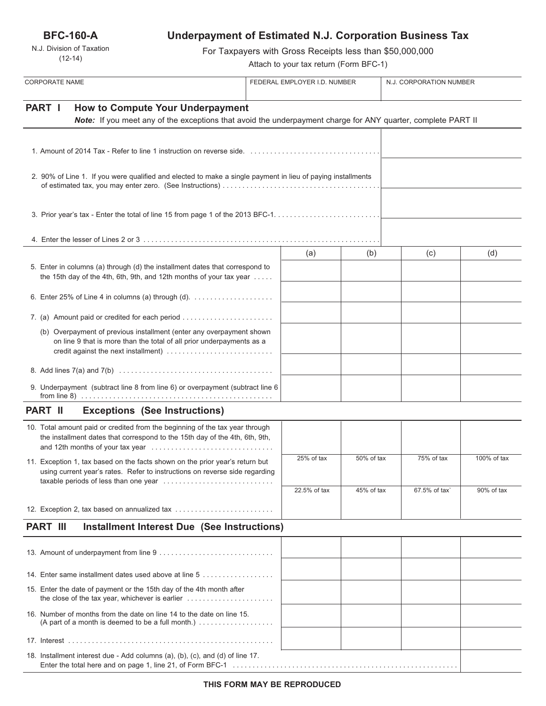**BFC-160-A**

N.J. Division of Taxation (12-14)

# **Underpayment of Estimated N.J. Corporation Business Tax**

For Taxpayers with Gross Receipts less than \$50,000,000

Attach to your tax return (Form BFC-1)

| <b>CORPORATE NAME</b>                                                                                                                                                                 | FEDERAL EMPLOYER I.D. NUMBER |              |            | N.J. CORPORATION NUMBER |             |
|---------------------------------------------------------------------------------------------------------------------------------------------------------------------------------------|------------------------------|--------------|------------|-------------------------|-------------|
| PART I<br><b>How to Compute Your Underpayment</b><br>Note: If you meet any of the exceptions that avoid the underpayment charge for ANY quarter, complete PART II                     |                              |              |            |                         |             |
|                                                                                                                                                                                       |                              |              |            |                         |             |
| 2. 90% of Line 1. If you were qualified and elected to make a single payment in lieu of paying installments                                                                           |                              |              |            |                         |             |
|                                                                                                                                                                                       |                              |              |            |                         |             |
|                                                                                                                                                                                       |                              |              |            |                         |             |
|                                                                                                                                                                                       |                              | (a)          | (b)        | (c)                     | (d)         |
| 5. Enter in columns (a) through (d) the installment dates that correspond to<br>the 15th day of the 4th, 6th, 9th, and 12th months of your tax year                                   |                              |              |            |                         |             |
| 6. Enter 25% of Line 4 in columns (a) through (d). $\ldots$                                                                                                                           |                              |              |            |                         |             |
| 7. (a) Amount paid or credited for each period                                                                                                                                        |                              |              |            |                         |             |
| (b) Overpayment of previous installment (enter any overpayment shown<br>on line 9 that is more than the total of all prior underpayments as a<br>credit against the next installment) |                              |              |            |                         |             |
|                                                                                                                                                                                       |                              |              |            |                         |             |
| 9. Underpayment (subtract line 8 from line 6) or overpayment (subtract line 6                                                                                                         |                              |              |            |                         |             |
| <b>PART II</b><br><b>Exceptions (See Instructions)</b>                                                                                                                                |                              |              |            |                         |             |
| 10. Total amount paid or credited from the beginning of the tax year through<br>the installment dates that correspond to the 15th day of the 4th, 6th, 9th,                           |                              |              |            |                         |             |
| 11. Exception 1, tax based on the facts shown on the prior year's return but<br>using current year's rates. Refer to instructions on reverse side regarding                           |                              | 25% of tax   | 50% of tax | 75% of tax              | 100% of tax |
|                                                                                                                                                                                       |                              | 22.5% of tax | 45% of tax | 67.5% of tax`           | 90% of tax  |
| 12. Exception 2, tax based on annualized tax                                                                                                                                          |                              |              |            |                         |             |
| <b>PART III</b><br><b>Installment Interest Due (See Instructions)</b>                                                                                                                 |                              |              |            |                         |             |
|                                                                                                                                                                                       |                              |              |            |                         |             |
|                                                                                                                                                                                       |                              |              |            |                         |             |
| 14. Enter same installment dates used above at line 5                                                                                                                                 |                              |              |            |                         |             |
| 15. Enter the date of payment or the 15th day of the 4th month after                                                                                                                  |                              |              |            |                         |             |
| 16. Number of months from the date on line 14 to the date on line 15.<br>(A part of a month is deemed to be a full month.) $\ldots$                                                   |                              |              |            |                         |             |
|                                                                                                                                                                                       |                              |              |            |                         |             |
| 18. Installment interest due - Add columns (a), (b), (c), and (d) of line 17.                                                                                                         |                              |              |            |                         |             |

Enter the total here and on page 1, line 21, of Form BFC-1 . . . . . . . . . . . . . . . . . . . . . . . . . . . . . . . . . . . . . . . . . . . . . . . . . . . . . . . . .